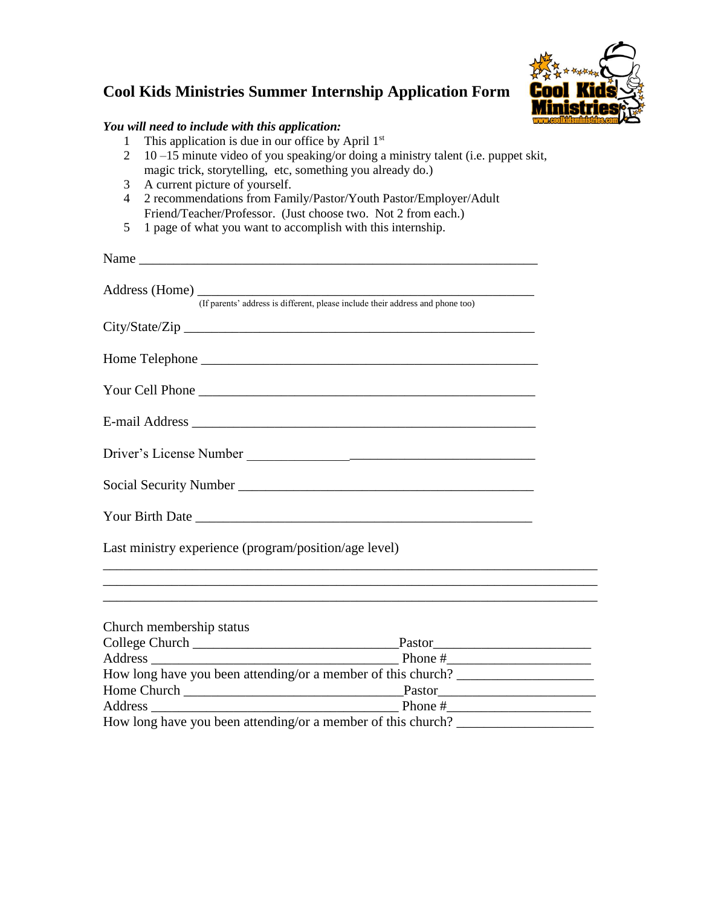## **Cool Kids Ministries Summer Internship Application Form**



## *You will need to include with this application:*

- 1 This application is due in our office by April 1<sup>st</sup>
- 2 10 –15 minute video of you speaking/or doing a ministry talent (i.e. puppet skit, magic trick, storytelling, etc, something you already do.)
- 3 A current picture of yourself.
- 4 2 recommendations from Family/Pastor/Youth Pastor/Employer/Adult Friend/Teacher/Professor. (Just choose two. Not 2 from each.)
- 5 1 page of what you want to accomplish with this internship.

|                                                       | Address (Home) (If parents' address is different, please include their address and phone too)                        |  |
|-------------------------------------------------------|----------------------------------------------------------------------------------------------------------------------|--|
|                                                       |                                                                                                                      |  |
|                                                       |                                                                                                                      |  |
|                                                       |                                                                                                                      |  |
|                                                       |                                                                                                                      |  |
|                                                       |                                                                                                                      |  |
|                                                       |                                                                                                                      |  |
|                                                       |                                                                                                                      |  |
| Last ministry experience (program/position/age level) | ,我们也不能在这里的时候,我们也不能在这里的时候,我们也不能会在这里,我们也不能会不能会不能会不能会不能会不能会不能会。""我们的是我们的,我们也不能会不能会不                                     |  |
|                                                       | <u> 1989 - Andrea Santa Andrea Andrea Andrea Andrea Andrea Andrea Andrea Andrea Andrea Andrea Andrea Andrea Andr</u> |  |
| Church membership status                              |                                                                                                                      |  |
|                                                       |                                                                                                                      |  |
|                                                       |                                                                                                                      |  |
|                                                       | How long have you been attending/or a member of this church?                                                         |  |
|                                                       |                                                                                                                      |  |
|                                                       |                                                                                                                      |  |

How long have you been attending/or a member of this church? \_\_\_\_\_\_\_\_\_\_\_\_\_\_\_\_\_\_\_